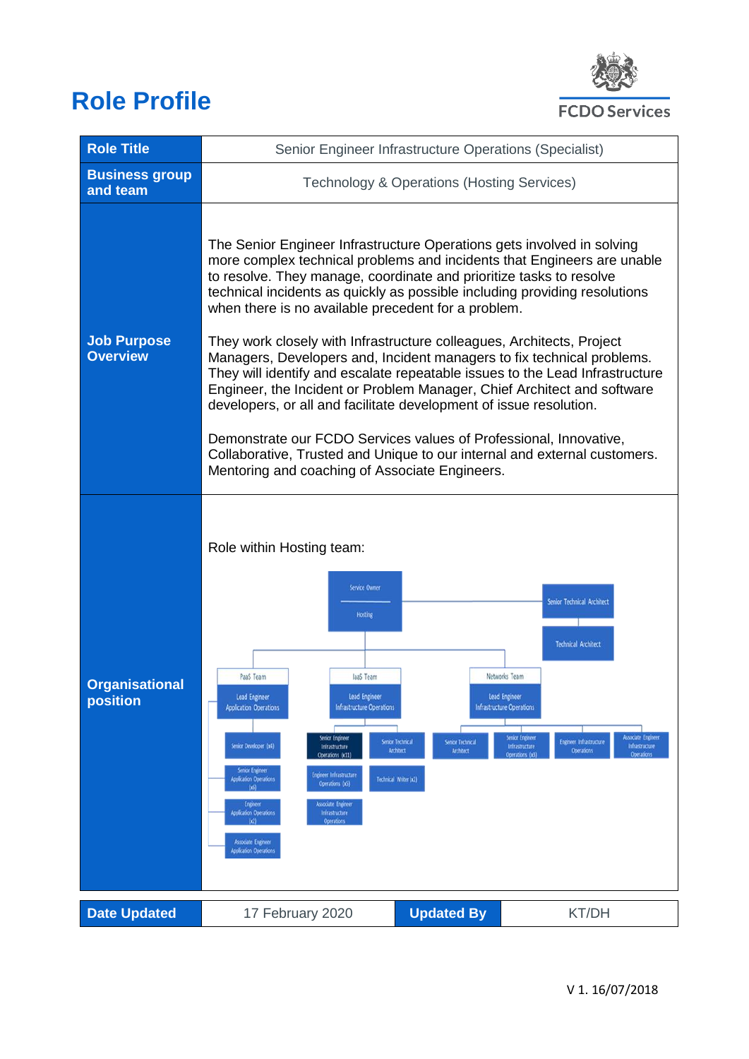# **Role Profile**



| <b>Role Title</b>                     | Senior Engineer Infrastructure Operations (Specialist)                                                                                                                                                                                                                                                                                                                                                                                                                                                                                                                                                                                                                                                                                                                                                                                                                                                                                                                                                                             |                   |       |  |
|---------------------------------------|------------------------------------------------------------------------------------------------------------------------------------------------------------------------------------------------------------------------------------------------------------------------------------------------------------------------------------------------------------------------------------------------------------------------------------------------------------------------------------------------------------------------------------------------------------------------------------------------------------------------------------------------------------------------------------------------------------------------------------------------------------------------------------------------------------------------------------------------------------------------------------------------------------------------------------------------------------------------------------------------------------------------------------|-------------------|-------|--|
| <b>Business group</b><br>and team     | Technology & Operations (Hosting Services)                                                                                                                                                                                                                                                                                                                                                                                                                                                                                                                                                                                                                                                                                                                                                                                                                                                                                                                                                                                         |                   |       |  |
| <b>Job Purpose</b><br><b>Overview</b> | The Senior Engineer Infrastructure Operations gets involved in solving<br>more complex technical problems and incidents that Engineers are unable<br>to resolve. They manage, coordinate and prioritize tasks to resolve<br>technical incidents as quickly as possible including providing resolutions<br>when there is no available precedent for a problem.<br>They work closely with Infrastructure colleagues, Architects, Project<br>Managers, Developers and, Incident managers to fix technical problems.<br>They will identify and escalate repeatable issues to the Lead Infrastructure<br>Engineer, the Incident or Problem Manager, Chief Architect and software<br>developers, or all and facilitate development of issue resolution.<br>Demonstrate our FCDO Services values of Professional, Innovative,<br>Collaborative, Trusted and Unique to our internal and external customers.<br>Mentoring and coaching of Associate Engineers.                                                                              |                   |       |  |
| <b>Organisational</b><br>position     | Role within Hosting team:<br>Service Owner<br>Senior Technical Architect<br><b>Hosting</b><br><b>Technical Architect</b><br>Networks Team<br>PaaS Team<br>laaS Team<br><b>Lead Engineer</b><br>Lead Engineer<br><b>Lead Engineer</b><br><b>Infrastructure Operations</b><br><b>Infrastructure Operations</b><br><b>Application Operations</b><br>Associate Engineer<br><b>Serior Engineer</b><br>Serior Engineer<br>Senior Technical<br><b>Senior Technical</b><br><b>Engineer Infrastructure</b><br>Senior Developer (x4)<br>Infrastructure<br>Infrastructure<br>Infrastructure<br>Architect<br><b>Operations</b><br><b>Architect</b><br><b>Operations</b><br>Operations (x11)<br>Operations (x3)<br>Senior Engineer<br><b>Engineer Infrastructure</b><br>Technical Writer (x2)<br><b>Application Operations</b><br>Operations (x5)<br>(x5)<br>Engineer<br><b>Associate Engineer</b><br><b>Application Operations</b><br>Infrastructure<br>$(\alpha)$<br><b>Operations</b><br>Associate Engineer<br><b>Application Operations</b> |                   |       |  |
| <b>Date Updated</b>                   | 17 February 2020                                                                                                                                                                                                                                                                                                                                                                                                                                                                                                                                                                                                                                                                                                                                                                                                                                                                                                                                                                                                                   | <b>Updated By</b> | KT/DH |  |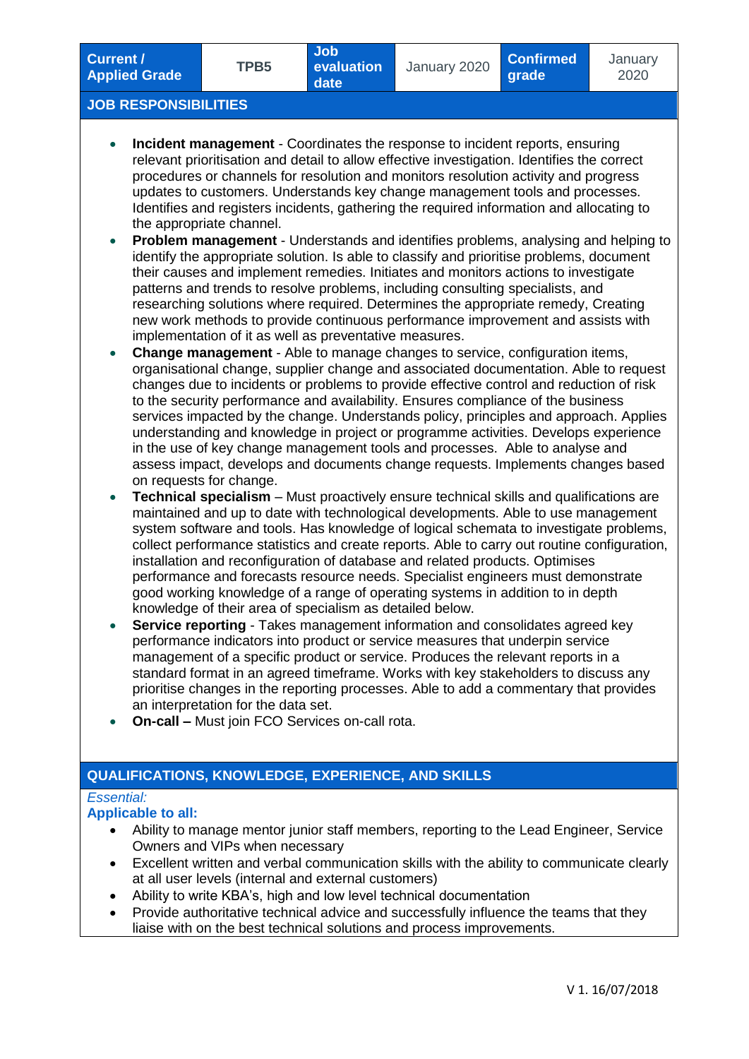January 2020

## **JOB RESPONSIBILITIES**

- **Incident management** Coordinates the response to incident reports, ensuring relevant prioritisation and detail to allow effective investigation. Identifies the correct procedures or channels for resolution and monitors resolution activity and progress updates to customers. Understands key change management tools and processes. Identifies and registers incidents, gathering the required information and allocating to the appropriate channel.
- **Problem management** Understands and identifies problems, analysing and helping to identify the appropriate solution. Is able to classify and prioritise problems, document their causes and implement remedies. Initiates and monitors actions to investigate patterns and trends to resolve problems, including consulting specialists, and researching solutions where required. Determines the appropriate remedy, Creating new work methods to provide continuous performance improvement and assists with implementation of it as well as preventative measures.
- **Change management** Able to manage changes to service, configuration items, organisational change, supplier change and associated documentation. Able to request changes due to incidents or problems to provide effective control and reduction of risk to the security performance and availability. Ensures compliance of the business services impacted by the change. Understands policy, principles and approach. Applies understanding and knowledge in project or programme activities. Develops experience in the use of key change management tools and processes. Able to analyse and assess impact, develops and documents change requests. Implements changes based on requests for change.
- **Technical specialism** Must proactively ensure technical skills and qualifications are maintained and up to date with technological developments. Able to use management system software and tools. Has knowledge of logical schemata to investigate problems, collect performance statistics and create reports. Able to carry out routine configuration, installation and reconfiguration of database and related products. Optimises performance and forecasts resource needs. Specialist engineers must demonstrate good working knowledge of a range of operating systems in addition to in depth knowledge of their area of specialism as detailed below.
- **Service reporting** Takes management information and consolidates agreed key performance indicators into product or service measures that underpin service management of a specific product or service. Produces the relevant reports in a standard format in an agreed timeframe. Works with key stakeholders to discuss any prioritise changes in the reporting processes. Able to add a commentary that provides an interpretation for the data set.
- **On-call –** Must join FCO Services on-call rota.

# **QUALIFICATIONS, KNOWLEDGE, EXPERIENCE, AND SKILLS**

## *Essential:*

#### **Applicable to all:**

- Ability to manage mentor junior staff members, reporting to the Lead Engineer, Service Owners and VIPs when necessary
- Excellent written and verbal communication skills with the ability to communicate clearly at all user levels (internal and external customers)
- Ability to write KBA's, high and low level technical documentation
- Provide authoritative technical advice and successfully influence the teams that they liaise with on the best technical solutions and process improvements.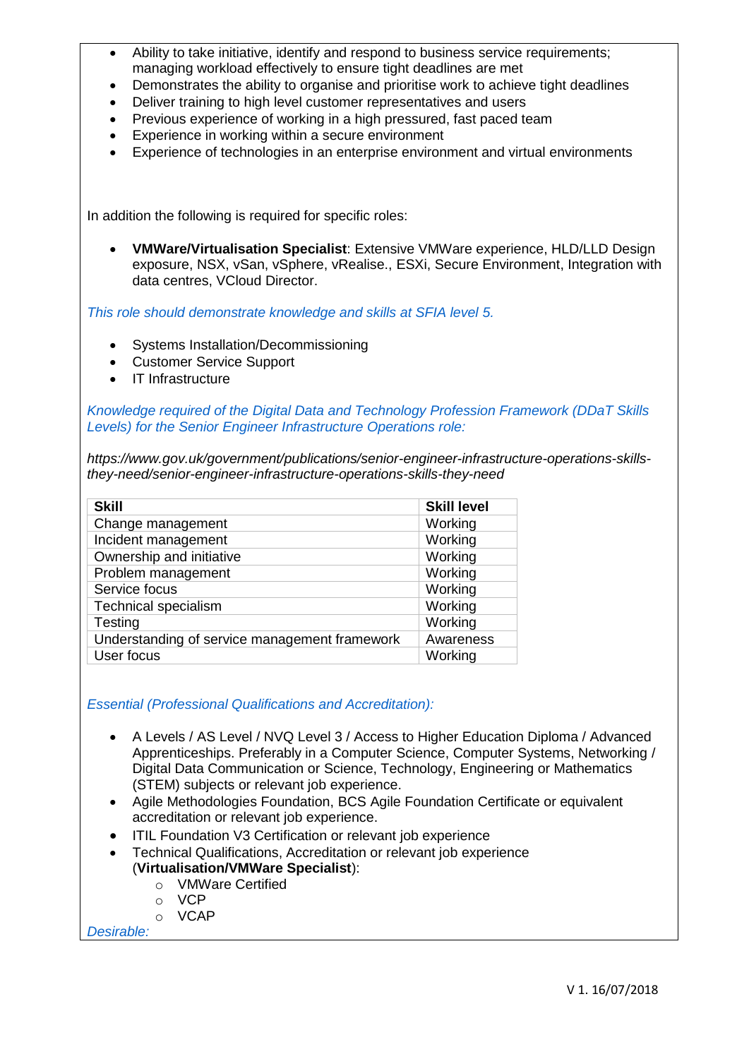- Ability to take initiative, identify and respond to business service requirements; managing workload effectively to ensure tight deadlines are met
- Demonstrates the ability to organise and prioritise work to achieve tight deadlines
- Deliver training to high level customer representatives and users
- Previous experience of working in a high pressured, fast paced team
- Experience in working within a secure environment
- Experience of technologies in an enterprise environment and virtual environments

In addition the following is required for specific roles:

 **VMWare/Virtualisation Specialist**: Extensive VMWare experience, HLD/LLD Design exposure, NSX, vSan, vSphere, vRealise., ESXi, Secure Environment, Integration with data centres, VCloud Director.

*This role should demonstrate knowledge and skills at SFIA level 5.*

- Systems Installation/Decommissioning
- Customer Service Support
- IT Infrastructure

*Knowledge required of the Digital Data and Technology Profession Framework (DDaT Skills Levels) for the Senior Engineer Infrastructure Operations role:*

*https://www.gov.uk/government/publications/senior-engineer-infrastructure-operations-skillsthey-need/senior-engineer-infrastructure-operations-skills-they-need*

| <b>Skill</b>                                  | <b>Skill level</b> |
|-----------------------------------------------|--------------------|
| Change management                             | Working            |
| Incident management                           | Working            |
| Ownership and initiative                      | Working            |
| Problem management                            | Working            |
| Service focus                                 | Working            |
| <b>Technical specialism</b>                   | Working            |
| Testing                                       | Working            |
| Understanding of service management framework | Awareness          |
| User focus                                    | Working            |

*Essential (Professional Qualifications and Accreditation):*

- A Levels / AS Level / NVQ Level 3 / Access to Higher Education Diploma / Advanced Apprenticeships. Preferably in a Computer Science, Computer Systems, Networking / Digital Data Communication or Science, Technology, Engineering or Mathematics (STEM) subjects or relevant job experience.
- Agile Methodologies Foundation, BCS Agile Foundation Certificate or equivalent accreditation or relevant job experience.
- ITIL Foundation V3 Certification or relevant job experience
- Technical Qualifications, Accreditation or relevant job experience (**Virtualisation/VMWare Specialist**):
	- o VMWare Certified
	- o VCP
	- o VCAP

*Desirable:*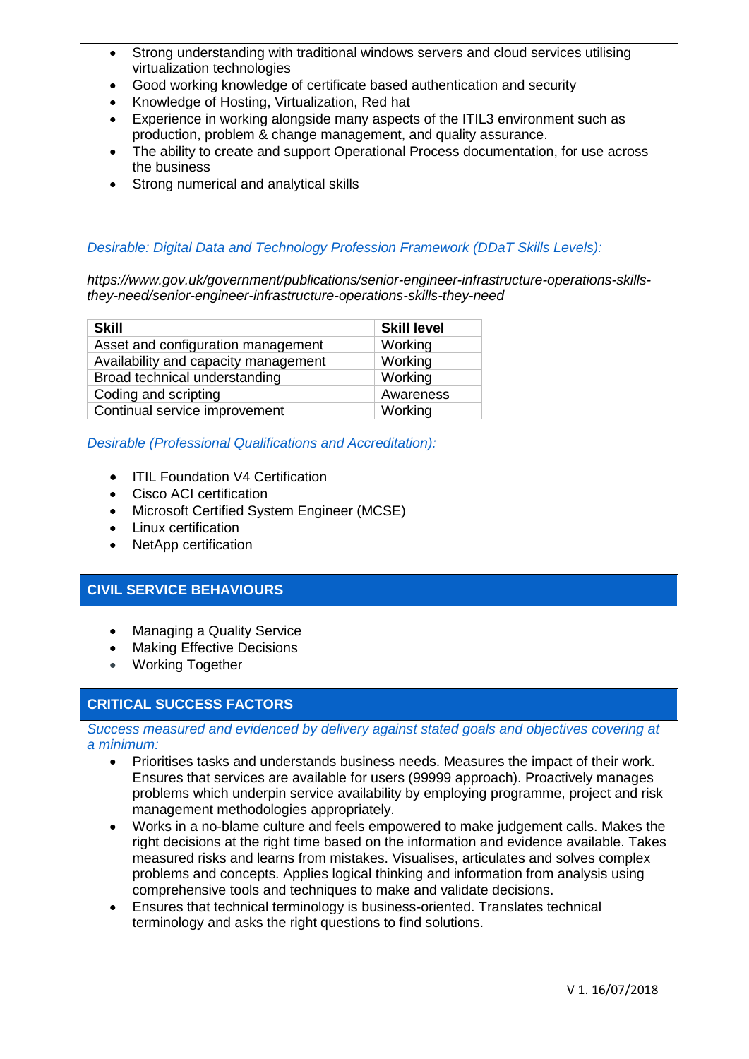- Strong understanding with traditional windows servers and cloud services utilising virtualization technologies
- Good working knowledge of certificate based authentication and security
- Knowledge of Hosting, Virtualization, Red hat
- Experience in working alongside many aspects of the ITIL3 environment such as production, problem & change management, and quality assurance.
- The ability to create and support Operational Process documentation, for use across the business
- Strong numerical and analytical skills

## *Desirable: Digital Data and Technology Profession Framework (DDaT Skills Levels):*

*https://www.gov.uk/government/publications/senior-engineer-infrastructure-operations-skillsthey-need/senior-engineer-infrastructure-operations-skills-they-need*

| <b>Skill</b>                         | <b>Skill level</b> |
|--------------------------------------|--------------------|
| Asset and configuration management   | Working            |
| Availability and capacity management | Working            |
| Broad technical understanding        | Working            |
| Coding and scripting                 | Awareness          |
| Continual service improvement        | Working            |

*Desirable (Professional Qualifications and Accreditation):*

- ITIL Foundation V4 Certification
- Cisco ACI certification
- Microsoft Certified System Engineer (MCSE)
- Linux certification
- NetApp certification

# **CIVIL SERVICE BEHAVIOURS**

- Managing a Quality Service
- Making Effective Decisions
- Working Together

# **CRITICAL SUCCESS FACTORS**

*Success measured and evidenced by delivery against stated goals and objectives covering at a minimum:*

- Prioritises tasks and understands business needs. Measures the impact of their work. Ensures that services are available for users (99999 approach). Proactively manages problems which underpin service availability by employing programme, project and risk management methodologies appropriately.
- Works in a no-blame culture and feels empowered to make judgement calls. Makes the right decisions at the right time based on the information and evidence available. Takes measured risks and learns from mistakes. Visualises, articulates and solves complex problems and concepts. Applies logical thinking and information from analysis using comprehensive tools and techniques to make and validate decisions.
- Ensures that technical terminology is business-oriented. Translates technical terminology and asks the right questions to find solutions.